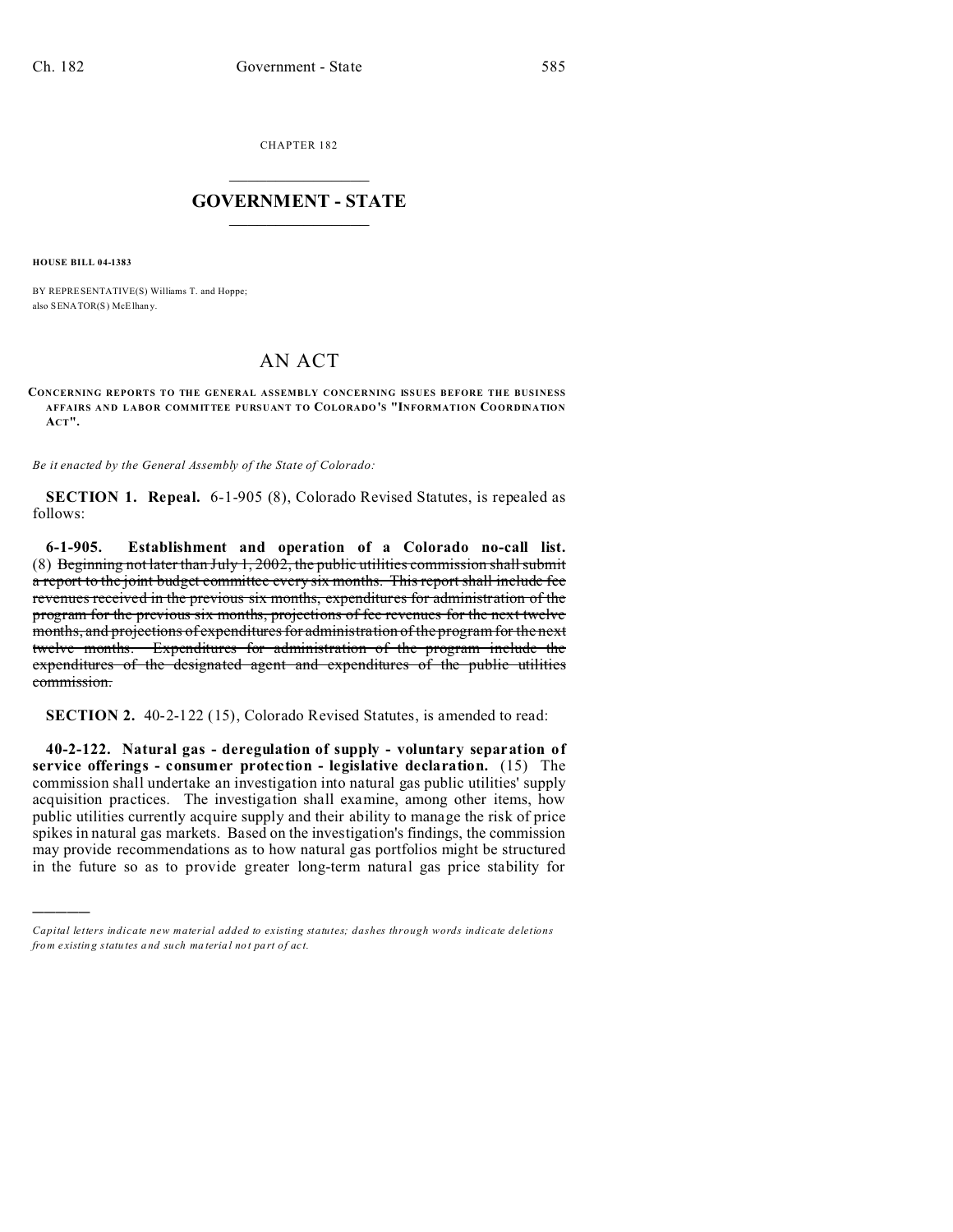CHAPTER 182  $\overline{\phantom{a}}$  , where  $\overline{\phantom{a}}$ 

## **GOVERNMENT - STATE**  $\_$   $\_$

**HOUSE BILL 04-1383**

)))))

BY REPRESENTATIVE(S) Williams T. and Hoppe; also SENATOR(S) McElhany.

## AN ACT

**CONCERNING REPORTS TO THE GENERAL ASSEMBLY CONCERNING ISSUES BEFORE THE BUSINESS AFFAIRS AND LABOR COMMITTEE PURSUANT TO COLORADO'S "INFORMATION COORDINATION ACT".**

*Be it enacted by the General Assembly of the State of Colorado:*

**SECTION 1. Repeal.** 6-1-905 (8), Colorado Revised Statutes, is repealed as follows:

**6-1-905. Establishment and operation of a Colorado no-call list.** (8) Beginning not later than July 1, 2002, the public utilities commission shall submit a report to the joint budget committee every six months. This report shall include fee revenues received in the previous six months, expenditures for administration of the program for the previous six months, projections of fee revenues for the next twelve months, and projections of expenditures for administration of the program for the next twelve months. Expenditures for administration of the program include the expenditures of the designated agent and expenditures of the public utilities commission.

**SECTION 2.** 40-2-122 (15), Colorado Revised Statutes, is amended to read:

**40-2-122. Natural gas - deregulation of supply - voluntary separation of service offerings - consumer protection - legislative declaration.** (15) The commission shall undertake an investigation into natural gas public utilities' supply acquisition practices. The investigation shall examine, among other items, how public utilities currently acquire supply and their ability to manage the risk of price spikes in natural gas markets. Based on the investigation's findings, the commission may provide recommendations as to how natural gas portfolios might be structured in the future so as to provide greater long-term natural gas price stability for

*Capital letters indicate new material added to existing statutes; dashes through words indicate deletions from e xistin g statu tes a nd such ma teria l no t pa rt of ac t.*